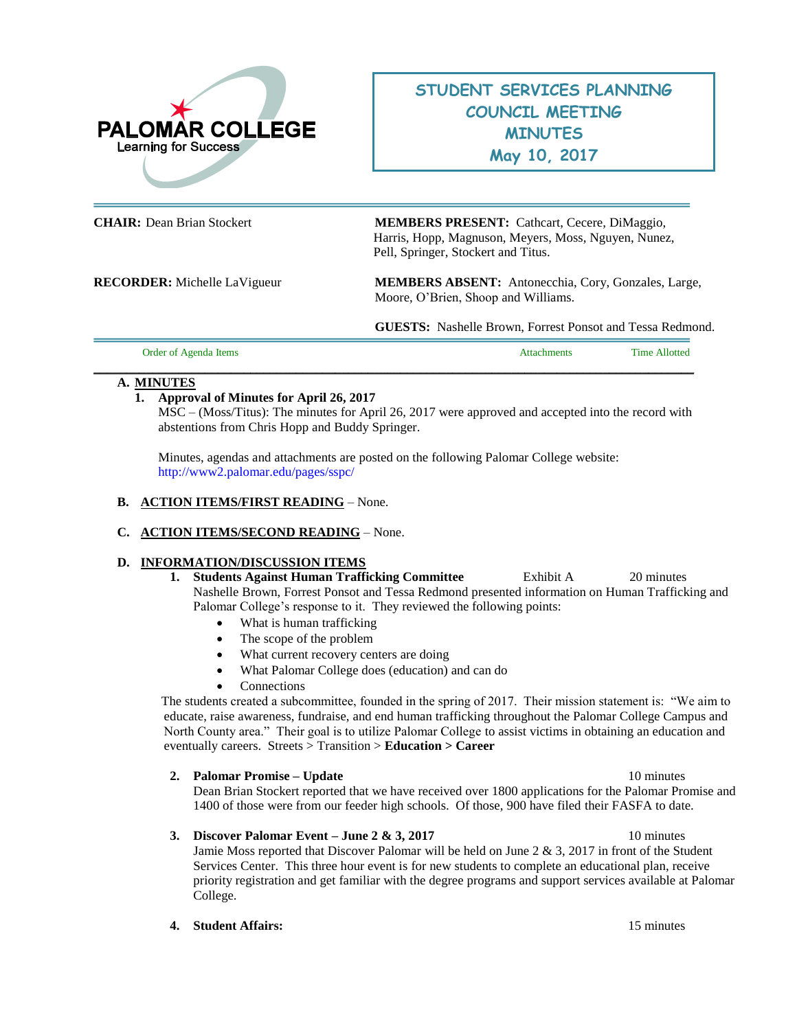

# **STUDENT SERVICES PLANNING COUNCIL MEETING MINUTES May 10, 2017**

**CHAIR:** Dean Brian Stockert **MEMBERS PRESENT:** Cathcart, Cecere, DiMaggio, Harris, Hopp, Magnuson, Meyers, Moss, Nguyen, Nunez, Pell, Springer, Stockert and Titus.

**RECORDER:** Michelle LaVigueur **MEMBERS ABSENT:** Antonecchia, Cory, Gonzales, Large, Moore, O'Brien, Shoop and Williams.

**GUESTS:** Nashelle Brown, Forrest Ponsot and Tessa Redmond.

| Order of Agenda Items | Attachments | Time Allotted |
|-----------------------|-------------|---------------|
|                       |             |               |

#### **A. MINUTES**

### **1. Approval of Minutes for April 26, 2017**

MSC – (Moss/Titus): The minutes for April 26, 2017 were approved and accepted into the record with abstentions from Chris Hopp and Buddy Springer.

Minutes, agendas and attachments are posted on the following Palomar College website: <http://www2.palomar.edu/pages/sspc/>

#### **B. ACTION ITEMS/FIRST READING** – None.

#### **C. ACTION ITEMS/SECOND READING** – None.

#### **D. INFORMATION/DISCUSSION ITEMS**

- **1. Students Against Human Trafficking Committee** Exhibit A20 minutes Nashelle Brown, Forrest Ponsot and Tessa Redmond presented information on Human Trafficking and Palomar College's response to it. They reviewed the following points:
	- What is human trafficking
	- The scope of the problem
	- What current recovery centers are doing
	- What Palomar College does (education) and can do
	- Connections

 The students created a subcommittee, founded in the spring of 2017. Their mission statement is: "We aim to educate, raise awareness, fundraise, and end human trafficking throughout the Palomar College Campus and North County area." Their goal is to utilize Palomar College to assist victims in obtaining an education and eventually careers. Streets > Transition > **Education > Career**

#### **2. Palomar Promise – Update** 10 minutes

Dean Brian Stockert reported that we have received over 1800 applications for the Palomar Promise and 1400 of those were from our feeder high schools. Of those, 900 have filed their FASFA to date.

## **3. Discover Palomar Event – June 2 & 3, 2017** 10 minutes

Jamie Moss reported that Discover Palomar will be held on June 2 & 3, 2017 in front of the Student Services Center. This three hour event is for new students to complete an educational plan, receive priority registration and get familiar with the degree programs and support services available at Palomar College.

**4. Student Affairs:** 15 minutes